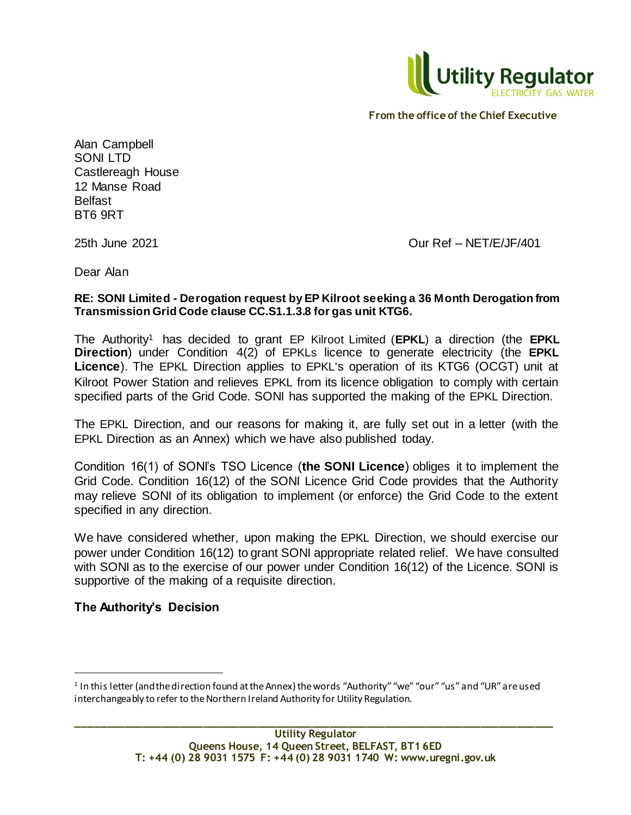

Alan Campbell SONI LTD Castlereagh House 12 Manse Road Belfast BT6 9RT

25th June 2021 Our Ref – NET/E/JF/401

Dear Alan

### **RE: SONI Limited - Derogation request by EP Kilroot seeking a 36 Month Derogation from Transmission Grid Code clause CC.S1.1.3.8 for gas unit KTG6.**

The Authority<sup>1</sup> has decided to grant EP Kilroot Limited (**EPKL**) a direction (the **EPKL Direction**) under Condition 4(2) of EPKLs licence to generate electricity (the **EPKL Licence**). The EPKL Direction applies to EPKL's operation of its KTG6 (OCGT) unit at Kilroot Power Station and relieves EPKL from its licence obligation to comply with certain specified parts of the Grid Code. SONI has supported the making of the EPKL Direction.

The EPKL Direction, and our reasons for making it, are fully set out in a letter (with the EPKL Direction as an Annex) which we have also published today.

Condition 16(1) of SONI's TSO Licence (**the SONI Licence**) obliges it to implement the Grid Code. Condition 16(12) of the SONI Licence Grid Code provides that the Authority may relieve SONI of its obligation to implement (or enforce) the Grid Code to the extent specified in any direction.

We have considered whether, upon making the EPKL Direction, we should exercise our power under Condition 16(12) to grant SONI appropriate related relief. We have consulted with SONI as to the exercise of our power under Condition 16(12) of the Licence. SONI is supportive of the making of a requisite direction.

# **The Authority's Decision**

l

<sup>1</sup> In this letter (and the direction found at the Annex) the words "Authority" "we" "our" "us" and "UR" are used interchangeably to refer to the Northern Ireland Authority for Utility Regulation.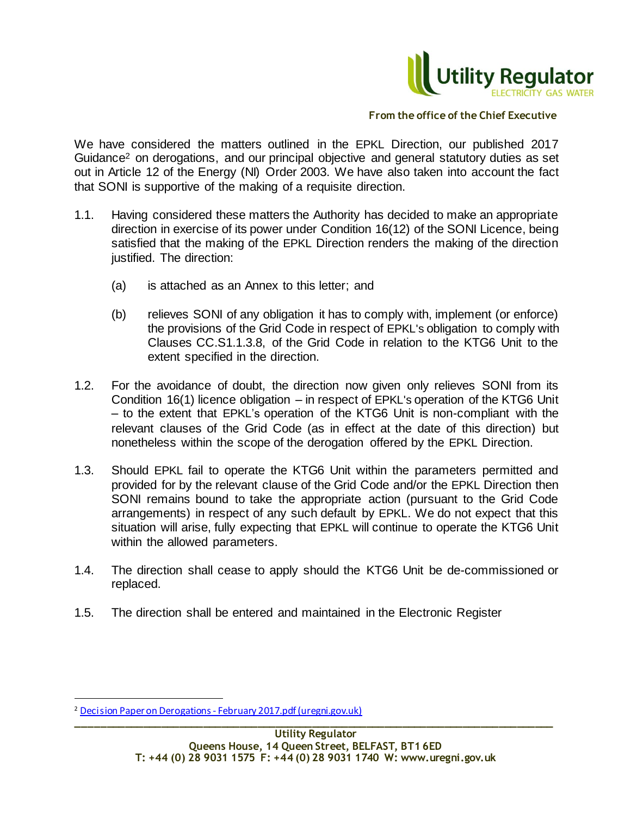

We have considered the matters outlined in the EPKL Direction, our published 2017 Guidance<sup>2</sup> on derogations, and our principal objective and general statutory duties as set out in Article 12 of the Energy (NI) Order 2003. We have also taken into account the fact that SONI is supportive of the making of a requisite direction.

- 1.1. Having considered these matters the Authority has decided to make an appropriate direction in exercise of its power under Condition 16(12) of the SONI Licence, being satisfied that the making of the EPKL Direction renders the making of the direction justified. The direction:
	- (a) is attached as an Annex to this letter; and
	- (b) relieves SONI of any obligation it has to comply with, implement (or enforce) the provisions of the Grid Code in respect of EPKL's obligation to comply with Clauses CC.S1.1.3.8, of the Grid Code in relation to the KTG6 Unit to the extent specified in the direction.
- 1.2. For the avoidance of doubt, the direction now given only relieves SONI from its Condition 16(1) licence obligation – in respect of EPKL's operation of the KTG6 Unit – to the extent that EPKL's operation of the KTG6 Unit is non-compliant with the relevant clauses of the Grid Code (as in effect at the date of this direction) but nonetheless within the scope of the derogation offered by the EPKL Direction.
- 1.3. Should EPKL fail to operate the KTG6 Unit within the parameters permitted and provided for by the relevant clause of the Grid Code and/or the EPKL Direction then SONI remains bound to take the appropriate action (pursuant to the Grid Code arrangements) in respect of any such default by EPKL. We do not expect that this situation will arise, fully expecting that EPKL will continue to operate the KTG6 Unit within the allowed parameters.
- 1.4. The direction shall cease to apply should the KTG6 Unit be de-commissioned or replaced.
- 1.5. The direction shall be entered and maintained in the Electronic Register

l

**\_\_\_\_\_\_\_\_\_\_\_\_\_\_\_\_\_\_\_\_\_\_\_\_\_\_\_\_\_\_\_\_\_\_\_\_\_\_\_\_\_\_\_\_\_\_\_\_\_\_\_\_\_\_\_\_\_\_\_\_\_\_\_\_\_\_\_\_\_\_\_\_\_\_\_\_\_\_\_** <sup>2</sup> Decision Paper on Derogations - [February 2017.pdf \(uregni.gov.uk\)](https://www.uregni.gov.uk/sites/uregni/files/media-files/Decision%20Paper%20on%20Derogations%20-%20February%202017.pdf)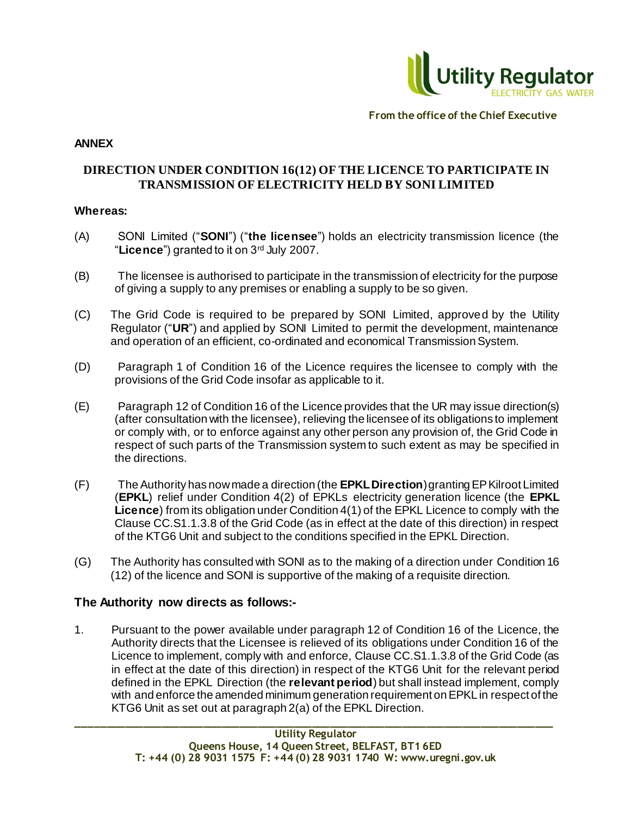

### **ANNEX**

# **DIRECTION UNDER CONDITION 16(12) OF THE LICENCE TO PARTICIPATE IN TRANSMISSION OF ELECTRICITY HELD BY SONI LIMITED**

### **Whereas:**

- (A) SONI Limited ("**SONI**") ("**the licensee**") holds an electricity transmission licence (the "**Licence**") granted to it on 3rd July 2007.
- (B) The licensee is authorised to participate in the transmission of electricity for the purpose of giving a supply to any premises or enabling a supply to be so given.
- (C) The Grid Code is required to be prepared by SONI Limited, approved by the Utility Regulator ("**UR**") and applied by SONI Limited to permit the development, maintenance and operation of an efficient, co-ordinated and economical Transmission System.
- (D) Paragraph 1 of Condition 16 of the Licence requires the licensee to comply with the provisions of the Grid Code insofar as applicable to it.
- (E) Paragraph 12 of Condition 16 of the Licence provides that the UR may issue direction(s) (after consultation with the licensee), relieving the licensee of its obligations to implement or comply with, or to enforce against any other person any provision of, the Grid Code in respect of such parts of the Transmission system to such extent as may be specified in the directions.
- (F) The Authority has now made a direction (the **EPKL Direction**) granting EP Kilroot Limited (**EPKL**) relief under Condition 4(2) of EPKLs electricity generation licence (the **EPKL Licence**) from its obligation under Condition 4(1) of the EPKL Licence to comply with the Clause CC.S1.1.3.8 of the Grid Code (as in effect at the date of this direction) in respect of the KTG6 Unit and subject to the conditions specified in the EPKL Direction.
- (G) The Authority has consulted with SONI as to the making of a direction under Condition 16 (12) of the licence and SONI is supportive of the making of a requisite direction.

# **The Authority now directs as follows:-**

1. Pursuant to the power available under paragraph 12 of Condition 16 of the Licence, the Authority directs that the Licensee is relieved of its obligations under Condition 16 of the Licence to implement, comply with and enforce, Clause CC.S1.1.3.8 of the Grid Code (as in effect at the date of this direction) in respect of the KTG6 Unit for the relevant period defined in the EPKL Direction (the **relevant period**) but shall instead implement, comply with and enforce the amended minimum generation requirement on EPKL in respect of the KTG6 Unit as set out at paragraph 2(a) of the EPKL Direction.

**\_\_\_\_\_\_\_\_\_\_\_\_\_\_\_\_\_\_\_\_\_\_\_\_\_\_\_\_\_\_\_\_\_\_\_\_\_\_\_\_\_\_\_\_\_\_\_\_\_\_\_\_\_\_\_\_\_\_\_\_\_\_\_\_\_\_\_\_\_\_\_\_\_\_\_\_\_\_\_**